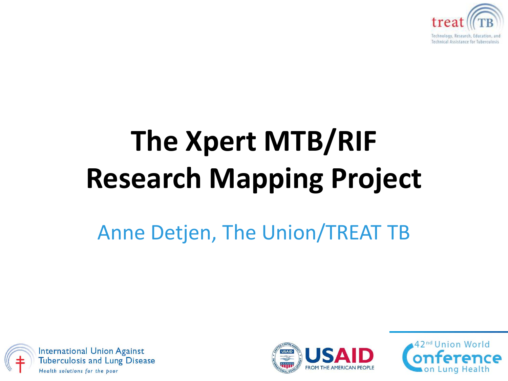

# **The Xpert MTB/RIF Research Mapping Project**

### Anne Detjen, The Union/TREAT TB





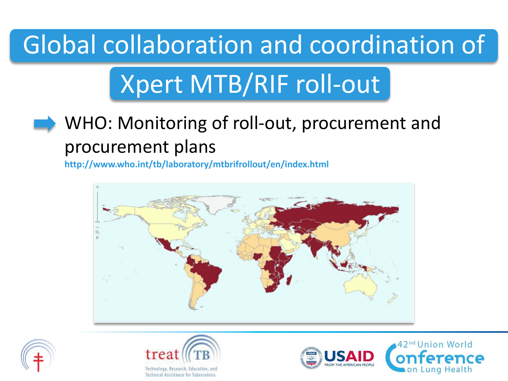## Global collaboration and coordination of

# Xpert MTB/RIF roll-out

### WHO: Monitoring of roll-out, procurement and procurement plans

**http://www.who.int/tb/laboratory/mtbrifrollout/en/index.html**







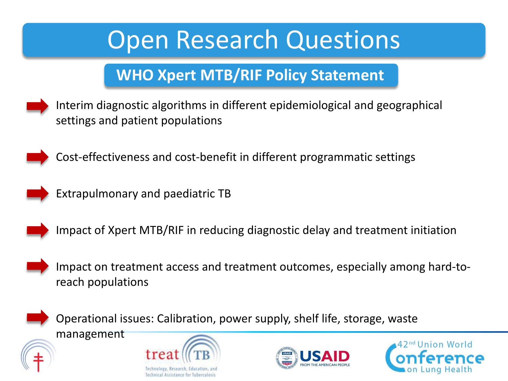### **Open Research Questions**

### **WHO Xpert MTB/RIF Policy Statement**

• Interim diagnostic algorithms in different epidemiological and geographical settings and patient populations



• Cost-effectiveness and cost-benefit in different programmatic settings



Extrapulmonary and paediatric TB



• Impact of Xpert MTB/RIF in reducing diagnostic delay and treatment initiation



• Impact on treatment access and treatment outcomes, especially among hard-toreach populations



• Operational issues: Calibration, power supply, shelf life, storage, waste

management





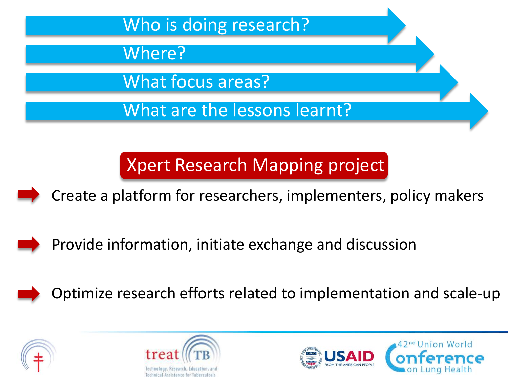

Xpert Research Mapping project

Create a platform for researchers, implementers, policy makers



Provide information, initiate exchange and discussion







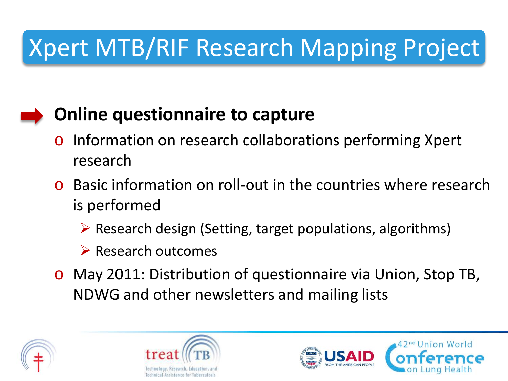## Xpert MTB/RIF Research Mapping Project

### **Online questionnaire to capture**

- Information on research collaborations performing Xpert research
- o Basic information on roll-out in the countries where research is performed
	- $\triangleright$  Research design (Setting, target populations, algorithms)
	- $\triangleright$  Research outcomes
- o May 2011: Distribution of questionnaire via Union, Stop TB, NDWG and other newsletters and mailing lists





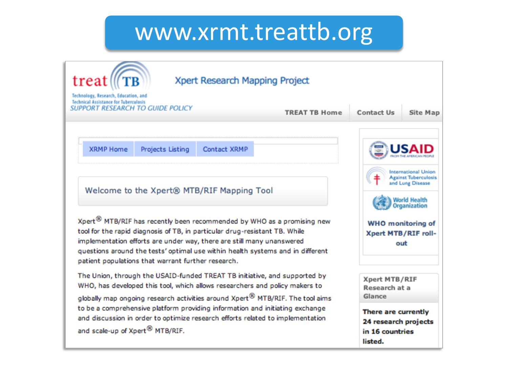### www.xrmt.treattb.org

| treat<br>Technology, Research, Education, and<br>Technical Assistance for Tuberculosis<br>SUPPORT RESEARCH TO GUIDE POLICY                                                                                                                                                                                                                                                        | Xpert Research Mapping Project                                         | <b>TREAT TB Home</b>                                                      | Contact Us<br>Site Map                                                                 |  |
|-----------------------------------------------------------------------------------------------------------------------------------------------------------------------------------------------------------------------------------------------------------------------------------------------------------------------------------------------------------------------------------|------------------------------------------------------------------------|---------------------------------------------------------------------------|----------------------------------------------------------------------------------------|--|
| <b>XRMP Home</b><br>Projects Listing<br>Welcome to the Xpert® MTB/RIF Mapping Tool                                                                                                                                                                                                                                                                                                | Contact XRMP                                                           |                                                                           | International Union<br><b>Against Tuberculosis</b><br>and Lung Disease<br>Vorid Health |  |
| Xpert <sup>®</sup> MTB/RIF has recently been recommended by WHO as a promising new<br>tool for the rapid diagnosis of TB, in particular drug-resistant TB. While<br>implementation efforts are under way, there are still many unanswered<br>questions around the tests' optimal use within health systems and in different<br>patient populations that warrant further research. | Organization<br><b>WHO</b> monitoring of<br>Xpert MTB/RIF roll-<br>out |                                                                           |                                                                                        |  |
| The Union, through the USAID-funded TREAT TB initiative, and supported by<br>WHO, has developed this tool, which allows researchers and policy makers to<br>globally map ongoing research activities around Xpert <sup>®</sup> MTB/RIF. The tool aims                                                                                                                             |                                                                        |                                                                           | Xpert MTB/RIF<br>Research at a<br>Glance                                               |  |
| to be a comprehensive platform providing information and initiating exchange<br>and discussion in order to optimize research efforts related to implementation<br>and scale-up of Xpert <sup>®</sup> MTB/RIF.                                                                                                                                                                     |                                                                        | There are currently<br>24 research projects<br>in 16 countries<br>listed. |                                                                                        |  |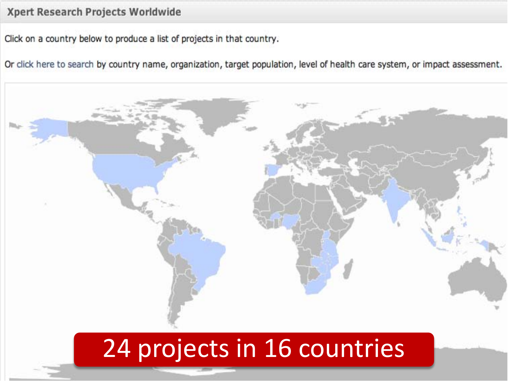#### Xpert Research Projects Worldwide

Click on a country below to produce a list of projects in that country.

Or click here to search by country name, organization, target population, level of health care system, or impact assessment.



### 24 projects in 16 countries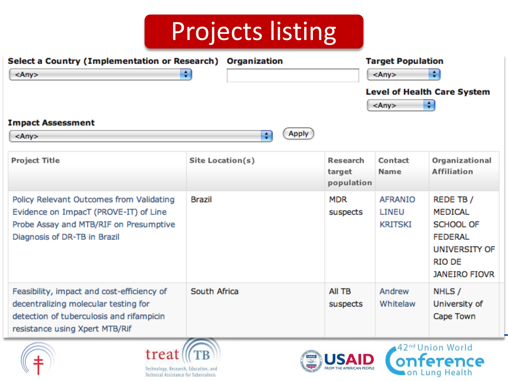## Projects listing

| $<$ Any $>$<br><b>Impact Assessment</b><br>$<$ Any $>$                                                                                                           | ÷<br>÷           | Apply                            | $<$ Any $>$<br>$<$ Any $>$                | ÷<br><b>Level of Health Care System</b><br>÷                                                                                       |
|------------------------------------------------------------------------------------------------------------------------------------------------------------------|------------------|----------------------------------|-------------------------------------------|------------------------------------------------------------------------------------------------------------------------------------|
| <b>Project Title</b>                                                                                                                                             | Site Location(s) | Research<br>target<br>population | Contact<br>Name                           | Organizational<br><b>Affiliation</b>                                                                                               |
| Policy Relevant Outcomes from Validating<br>Evidence on ImpacT (PROVE-IT) of Line<br>Probe Assay and MTB/RIF on Presumptive<br>Diagnosis of DR-TB in Brazil      | <b>Brazil</b>    | <b>MDR</b><br>suspects           | <b>AFRANIO</b><br>LINEU<br><b>KRITSKI</b> | REDE TB /<br><b>MEDICAL</b><br><b>SCHOOL OF</b><br><b>FEDERAL</b><br><b>UNIVERSITY OF</b><br><b>RIO DE</b><br><b>JANEIRO FIOVR</b> |
| Feasibility, impact and cost-efficiency of<br>decentralizing molecular testing for<br>detection of tuberculosis and rifampicin<br>resistance using Xpert MTB/Rif | South Africa     | All TB<br>suspects               | Andrew<br>Whitelaw                        | NHLS /<br>University of<br>Cape Town                                                                                               |







on Lung Health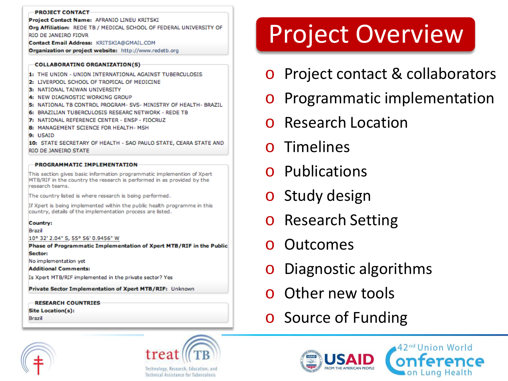#### **PROJECT CONTACT**

Project Contact Name: AFRANIO LINEU KRITSKI Org Affiliation: REDE TB / MEDICAL SCHOOL OF FEDERAL UNIVERSITY OF RIO DE JANEIRO FIOVR

Contact Email Address: KRITSKIA@GMAIL.COM

Organization or project website: http://www.redetb.org

#### **COLLABORATING ORGANIZATION(S)**

- 1: THE UNION UNION INTERNATIONAL AGAINST TUBERCULOSIS
- 2: LIVERPOOL SCHOOL OF TROPICAL OF MEDICINE
- 3: NATIONAL TAIWAN UNIVERSITY
- 4: NEW DIAGNOSTIC WORKING GROUP
- 5: NATIONAL TB CONTROL PROGRAM- SVS- MINISTRY OF HEALTH- BRAZIL
- 6: BRAZILIAN TUBERCULOSIS RESEARC NETWORK REDE TB
- 7: NATIONAL REFERENCE CENTER ENSP FIOCRUZ
- 8: MANAGEMENT SCIENCE FOR HEALTH- MSH
- 9: USAID

10: STATE SECRETARY OF HEALTH - SAO PAULO STATE, CEARA STATE AND RIO DE JANEIRO STATE

#### **PROGRAMMATIC IMPLEMENTATION**

This section gives basic information programmatic implemention of Xpert MTB/RIF in the country the research is performed in as provided by the research teams.

The country listed is where research is being performed.

If Xpert is being implemented within the public health programme in this country, details of the implementation process are listed.

#### Country:

Brazil

10° 32' 2.04" S, 55° 56' 0.9456" W

Phase of Programmatic Implementation of Xpert MTB/RIF in the Public Sector:

No implementation yet

**Additional Comments:** 

Is Xpert MTB/RIF implemented in the private sector? Yes

Private Sector Implementation of Xpert MTB/RIF: Unknown

**RESEARCH COUNTRIES Site Location(s):** 

**Brazil** 

## Project Overview

- o Project contact & collaborators
- o Programmatic implementation
- Research Location
- **Timelines**
- Publications
- o Study design
- o Research Setting
- **Outcomes**
- Diagnostic algorithms
- Other new tools
- o Source of Funding





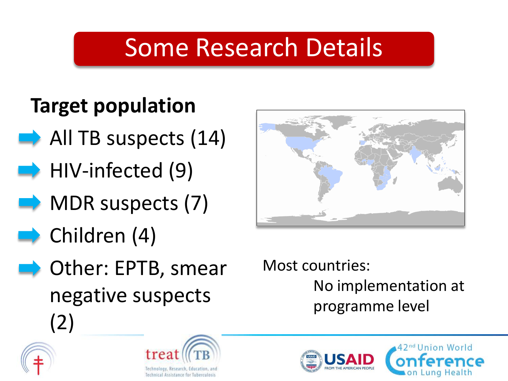## Some Research Details

### **Target population**

- All TB suspects (14)
- HIV-infected (9)
- MDR suspects (7)
- Children (4)
- Other: EPTB, smear negative suspects (2)







Most countries: No implementation at programme level



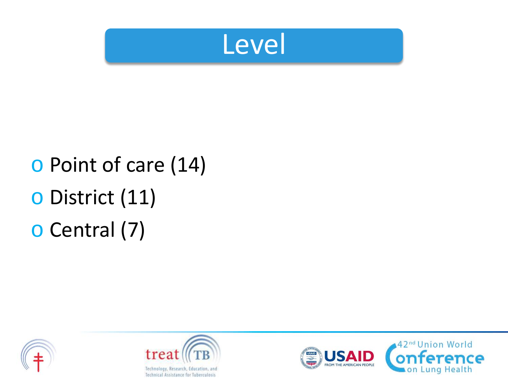

## o Point of care (14) o District (11) o Central (7)





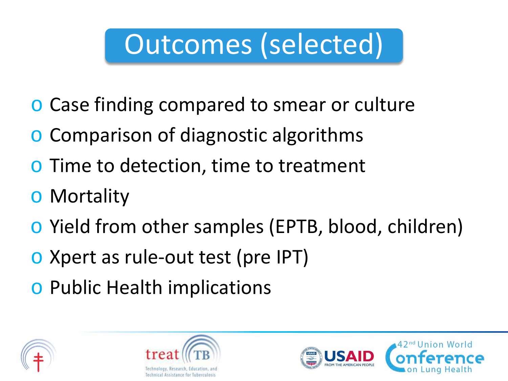# Outcomes (selected)

- o Case finding compared to smear or culture
- Comparison of diagnostic algorithms
- o Time to detection, time to treatment
- o Mortality
- o Yield from other samples (EPTB, blood, children)
- o Xpert as rule-out test (pre IPT)
- o Public Health implications





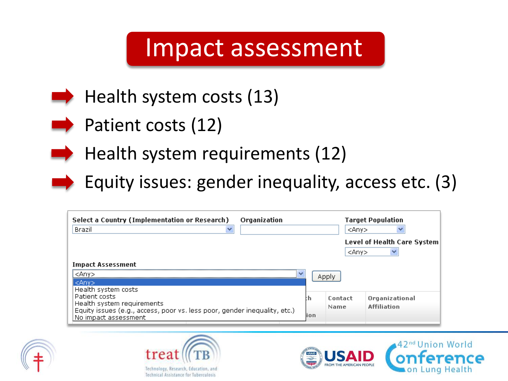### Impact assessment



- $\blacktriangleright$  Patient costs (12)
	- Health system requirements (12)
	- Equity issues: gender inequality, access etc. (3)

| Select a Country (Implementation or Research)<br>Organization<br>Brazil                                                                          |            | <anv><br/><anv></anv></anv> | <b>Target Population</b><br><b>Level of Health Care System</b> |
|--------------------------------------------------------------------------------------------------------------------------------------------------|------------|-----------------------------|----------------------------------------------------------------|
| <b>Impact Assessment</b><br><anv><br/>w<br/><anv><br/>Health system costs</anv></anv>                                                            |            | Apply                       |                                                                |
| Patient costs<br>Health system requirements<br>Equity issues (e.g., access, poor vs. less poor, gender inequality, etc.)<br>No impact assessment | :h<br>lion | Contact<br>Name             | Organizational<br><b>Affiliation</b>                           |







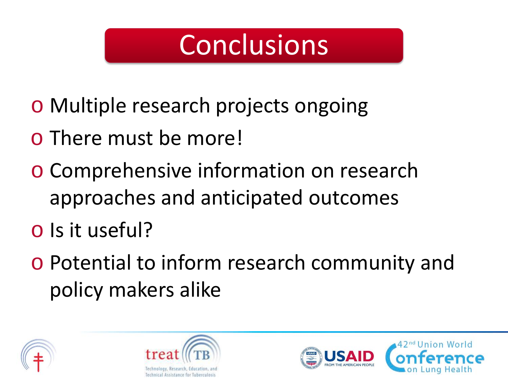## **Conclusions**

- o Multiple research projects ongoing
- o There must be more!
- o Comprehensive information on research approaches and anticipated outcomes
- o Is it useful?
- o Potential to inform research community and policy makers alike